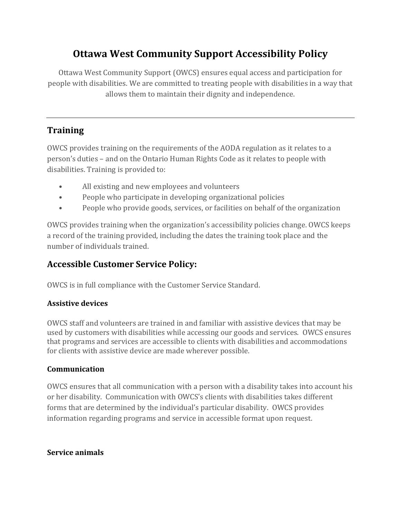# **Ottawa West Community Support Accessibility Policy**

Ottawa West Community Support (OWCS) ensures equal access and participation for people with disabilities. We are committed to treating people with disabilities in a way that allows them to maintain their dignity and independence.

# **Training**

OWCS provides training on the requirements of the AODA regulation as it relates to a person's duties – and on the Ontario Human Rights Code as it relates to people with disabilities. Training is provided to:

- All existing and new employees and volunteers
- People who participate in developing organizational policies
- People who provide goods, services, or facilities on behalf of the organization

OWCS provides training when the organization's accessibility policies change. OWCS keeps a record of the training provided, including the dates the training took place and the number of individuals trained.

# **Accessible Customer Service Policy:**

OWCS is in full compliance with the Customer Service Standard.

### **Assistive devices**

OWCS staff and volunteers are trained in and familiar with assistive devices that may be used by customers with disabilities while accessing our goods and services. OWCS ensures that programs and services are accessible to clients with disabilities and accommodations for clients with assistive device are made wherever possible.

### **Communication**

OWCS ensures that all communication with a person with a disability takes into account his or her disability. Communication with OWCS's clients with disabilities takes different forms that are determined by the individual's particular disability. OWCS provides information regarding programs and service in accessible format upon request.

### **Service animals**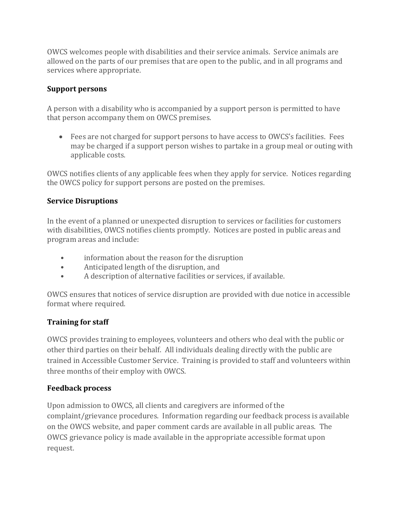OWCS welcomes people with disabilities and their service animals. Service animals are allowed on the parts of our premises that are open to the public, and in all programs and services where appropriate.

### **Support persons**

A person with a disability who is accompanied by a support person is permitted to have that person accompany them on OWCS premises.

 Fees are not charged for support persons to have access to OWCS's facilities. Fees may be charged if a support person wishes to partake in a group meal or outing with applicable costs.

OWCS notifies clients of any applicable fees when they apply for service. Notices regarding the OWCS policy for support persons are posted on the premises.

#### **Service Disruptions**

In the event of a planned or unexpected disruption to services or facilities for customers with disabilities, OWCS notifies clients promptly. Notices are posted in public areas and program areas and include:

- information about the reason for the disruption
- Anticipated length of the disruption, and
- A description of alternative facilities or services, if available.

OWCS ensures that notices of service disruption are provided with due notice in accessible format where required.

### **Training for staff**

OWCS provides training to employees, volunteers and others who deal with the public or other third parties on their behalf. All individuals dealing directly with the public are trained in Accessible Customer Service. Training is provided to staff and volunteers within three months of their employ with OWCS.

#### **Feedback process**

Upon admission to OWCS, all clients and caregivers are informed of the complaint/grievance procedures. Information regarding our feedback process is available on the OWCS website, and paper comment cards are available in all public areas. The OWCS grievance policy is made available in the appropriate accessible format upon request.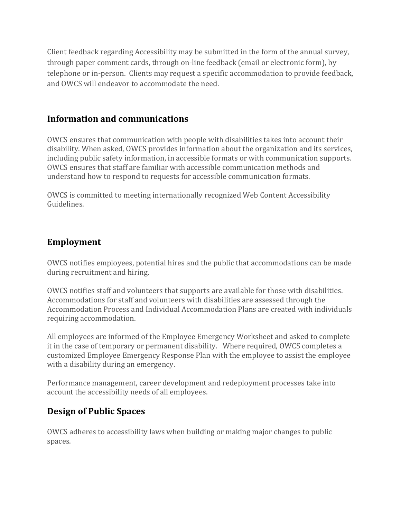Client feedback regarding Accessibility may be submitted in the form of the annual survey, through paper comment cards, through on-line feedback (email or electronic form), by telephone or in-person. Clients may request a specific accommodation to provide feedback, and OWCS will endeavor to accommodate the need.

## **Information and communications**

OWCS ensures that communication with people with disabilities takes into account their disability. When asked, OWCS provides information about the organization and its services, including public safety information, in accessible formats or with communication supports. OWCS ensures that staff are familiar with accessible communication methods and understand how to respond to requests for accessible communication formats.

OWCS is committed to meeting internationally recognized Web Content Accessibility Guidelines.

## **Employment**

OWCS notifies employees, potential hires and the public that accommodations can be made during recruitment and hiring.

OWCS notifies staff and volunteers that supports are available for those with disabilities. Accommodations for staff and volunteers with disabilities are assessed through the Accommodation Process and Individual Accommodation Plans are created with individuals requiring accommodation.

All employees are informed of the Employee Emergency Worksheet and asked to complete it in the case of temporary or permanent disability. Where required, OWCS completes a customized Employee Emergency Response Plan with the employee to assist the employee with a disability during an emergency.

Performance management, career development and redeployment processes take into account the accessibility needs of all employees.

# **Design of Public Spaces**

OWCS adheres to accessibility laws when building or making major changes to public spaces.